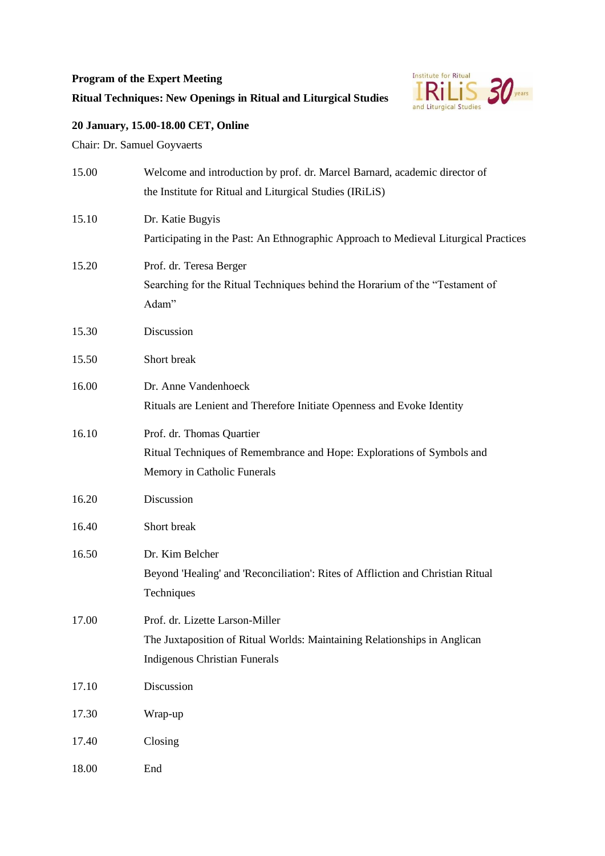## **Program of the Expert Meeting**



## **Ritual Techniques: New Openings in Ritual and Liturgical Studies**

## **20 January, 15.00-18.00 CET, Online**

Chair: Dr. Samuel Goyvaerts

| 15.00 | Welcome and introduction by prof. dr. Marcel Barnard, academic director of<br>the Institute for Ritual and Liturgical Studies (IRiLiS)               |
|-------|------------------------------------------------------------------------------------------------------------------------------------------------------|
| 15.10 | Dr. Katie Bugyis<br>Participating in the Past: An Ethnographic Approach to Medieval Liturgical Practices                                             |
| 15.20 | Prof. dr. Teresa Berger<br>Searching for the Ritual Techniques behind the Horarium of the "Testament of<br>Adam"                                     |
| 15.30 | Discussion                                                                                                                                           |
| 15.50 | Short break                                                                                                                                          |
| 16.00 | Dr. Anne Vandenhoeck<br>Rituals are Lenient and Therefore Initiate Openness and Evoke Identity                                                       |
| 16.10 | Prof. dr. Thomas Quartier<br>Ritual Techniques of Remembrance and Hope: Explorations of Symbols and<br>Memory in Catholic Funerals                   |
| 16.20 | Discussion                                                                                                                                           |
| 16.40 | Short break                                                                                                                                          |
| 16.50 | Dr. Kim Belcher<br>Beyond 'Healing' and 'Reconciliation': Rites of Affliction and Christian Ritual<br>Techniques                                     |
| 17.00 | Prof. dr. Lizette Larson-Miller<br>The Juxtaposition of Ritual Worlds: Maintaining Relationships in Anglican<br><b>Indigenous Christian Funerals</b> |
| 17.10 | Discussion                                                                                                                                           |
| 17.30 | Wrap-up                                                                                                                                              |
| 17.40 | Closing                                                                                                                                              |
| 18.00 | End                                                                                                                                                  |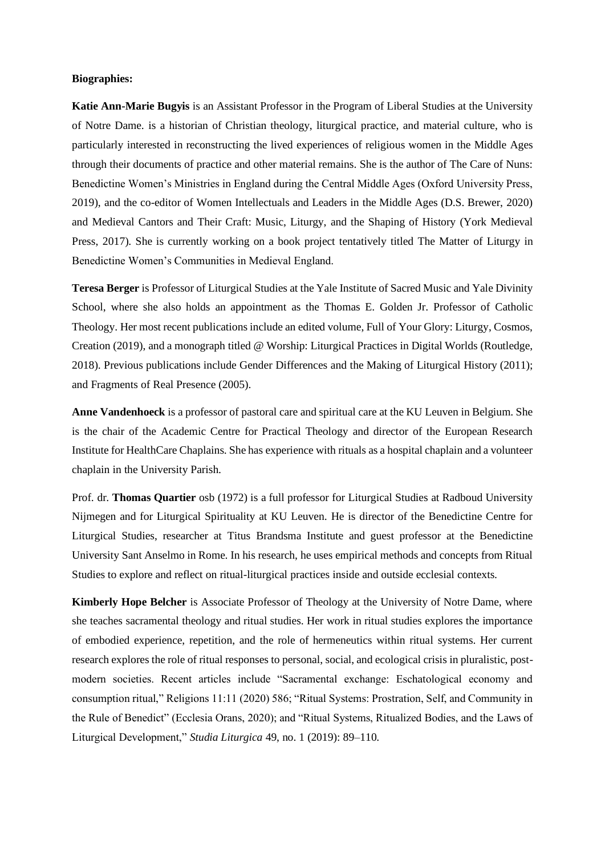## **Biographies:**

**Katie Ann-Marie Bugyis** is an Assistant Professor in the Program of Liberal Studies at the University of Notre Dame. is a historian of Christian theology, liturgical practice, and material culture, who is particularly interested in reconstructing the lived experiences of religious women in the Middle Ages through their documents of practice and other material remains. She is the author of The Care of Nuns: Benedictine Women's Ministries in England during the Central Middle Ages (Oxford University Press, 2019), and the co-editor of Women Intellectuals and Leaders in the Middle Ages (D.S. Brewer, 2020) and Medieval Cantors and Their Craft: Music, Liturgy, and the Shaping of History (York Medieval Press, 2017). She is currently working on a book project tentatively titled The Matter of Liturgy in Benedictine Women's Communities in Medieval England.

**Teresa Berger** is Professor of Liturgical Studies at the Yale Institute of Sacred Music and Yale Divinity School, where she also holds an appointment as the Thomas E. Golden Jr. Professor of Catholic Theology. Her most recent publications include an edited volume, Full of Your Glory: Liturgy, Cosmos, Creation (2019), and a monograph titled @ Worship: Liturgical Practices in Digital Worlds (Routledge, 2018). Previous publications include Gender Differences and the Making of Liturgical History (2011); and Fragments of Real Presence (2005).

**Anne Vandenhoeck** is a professor of pastoral care and spiritual care at the KU Leuven in Belgium. She is the chair of the Academic Centre for Practical Theology and director of the European Research Institute for HealthCare Chaplains. She has experience with rituals as a hospital chaplain and a volunteer chaplain in the University Parish.

Prof. dr. **Thomas Quartier** osb (1972) is a full professor for Liturgical Studies at Radboud University Nijmegen and for Liturgical Spirituality at KU Leuven. He is director of the Benedictine Centre for Liturgical Studies, researcher at Titus Brandsma Institute and guest professor at the Benedictine University Sant Anselmo in Rome. In his research, he uses empirical methods and concepts from Ritual Studies to explore and reflect on ritual-liturgical practices inside and outside ecclesial contexts.

**Kimberly Hope Belcher** is Associate Professor of Theology at the University of Notre Dame, where she teaches sacramental theology and ritual studies. Her work in ritual studies explores the importance of embodied experience, repetition, and the role of hermeneutics within ritual systems. Her current research explores the role of ritual responses to personal, social, and ecological crisis in pluralistic, postmodern societies. Recent articles include "Sacramental exchange: Eschatological economy and consumption ritual," Religions 11:11 (2020) 586; "Ritual Systems: Prostration, Self, and Community in the Rule of Benedict" (Ecclesia Orans, 2020); and "Ritual Systems, Ritualized Bodies, and the Laws of Liturgical Development," *Studia Liturgica* 49, no. 1 (2019): 89–110.